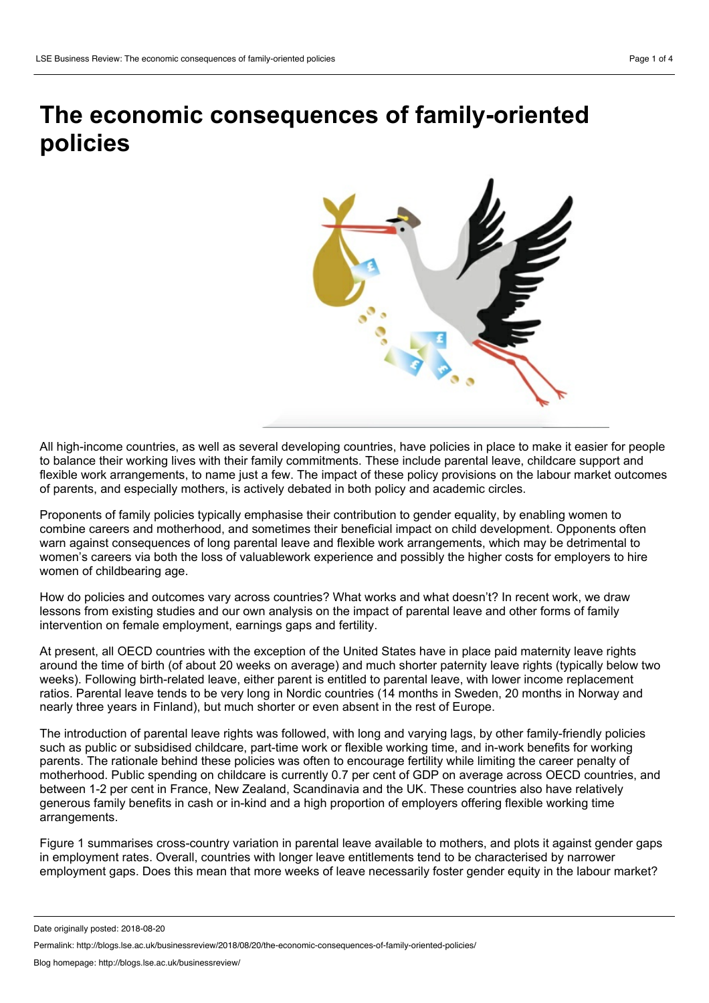# **The economic consequences of family-oriented policies**



All high-income countries, as well as several developing countries, have policies in place to make it easier for people to balance their working lives with their family commitments. These include parental leave, childcare support and flexible work arrangements, to name just a few. The impact of these policy provisions on the labour market outcomes of parents, and especially mothers, is actively debated in both policy and academic circles.

Proponents of family policies typically emphasise their contribution to gender equality, by enabling women to combine careers and motherhood, and sometimes their beneficial impact on child development. Opponents often warn against consequences of long parental leave and flexible work arrangements, which may be detrimental to women's careers via both the loss of valuablework experience and possibly the higher costs for employers to hire women of childbearing age.

How do policies and outcomes vary across countries? What works and what doesn't? In recent work, we draw lessons from existing studies and our own analysis on the impact of parental leave and other forms of family intervention on female employment, earnings gaps and fertility.

At present, all OECD countries with the exception of the United States have in place paid maternity leave rights around the time of birth (of about 20 weeks on average) and much shorter paternity leave rights (typically below two weeks). Following birth-related leave, either parent is entitled to parental leave, with lower income replacement ratios. Parental leave tends to be very long in Nordic countries (14 months in Sweden, 20 months in Norway and nearly three years in Finland), but much shorter or even absent in the rest of Europe.

The introduction of parental leave rights was followed, with long and varying lags, by other family-friendly policies such as public or subsidised childcare, part-time work or flexible working time, and in-work benefits for working parents. The rationale behind these policies was often to encourage fertility while limiting the career penalty of motherhood. Public spending on childcare is currently 0.7 per cent of GDP on average across OECD countries, and between 1-2 per cent in France, New Zealand, Scandinavia and the UK. These countries also have relatively generous family benefits in cash or in-kind and a high proportion of employers offering flexible working time arrangements.

Figure 1 summarises cross-country variation in parental leave available to mothers, and plots it against gender gaps in employment rates. Overall, countries with longer leave entitlements tend to be characterised by narrower employment gaps. Does this mean that more weeks of leave necessarily foster gender equity in the labour market?

Date originally posted: 2018-08-20

Permalink: http://blogs.lse.ac.uk/businessreview/2018/08/20/the-economic-consequences-of-family-oriented-policies/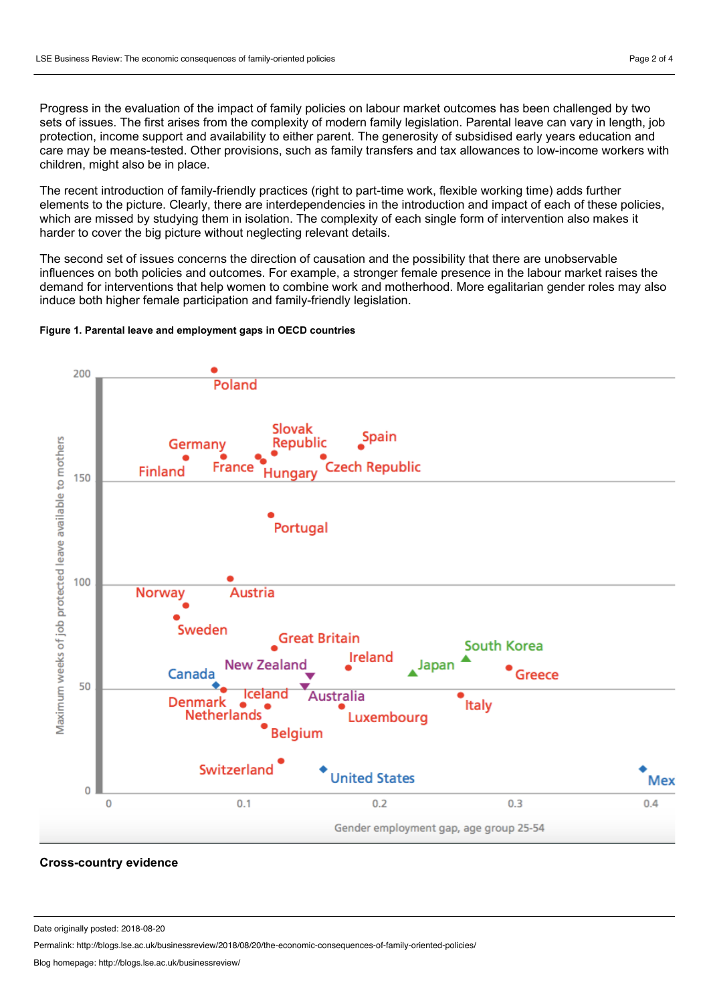Progress in the evaluation of the impact of family policies on labour market outcomes has been challenged by two sets of issues. The first arises from the complexity of modern family legislation. Parental leave can vary in length, job protection, income support and availability to either parent. The generosity of subsidised early years education and care may be means-tested. Other provisions, such as family transfers and tax allowances to low-income workers with children, might also be in place.

The recent introduction of family-friendly practices (right to part-time work, flexible working time) adds further elements to the picture. Clearly, there are interdependencies in the introduction and impact of each of these policies, which are missed by studying them in isolation. The complexity of each single form of intervention also makes it harder to cover the big picture without neglecting relevant details.

The second set of issues concerns the direction of causation and the possibility that there are unobservable influences on both policies and outcomes. For example, a stronger female presence in the labour market raises the demand for interventions that help women to combine work and motherhood. More egalitarian gender roles may also induce both higher female participation and family-friendly legislation.

#### **Figure 1. Parental leave and employment gaps in OECD countries**



#### **Cross-country evidence**

Date originally posted: 2018-08-20

Permalink: http://blogs.lse.ac.uk/businessreview/2018/08/20/the-economic-consequences-of-family-oriented-policies/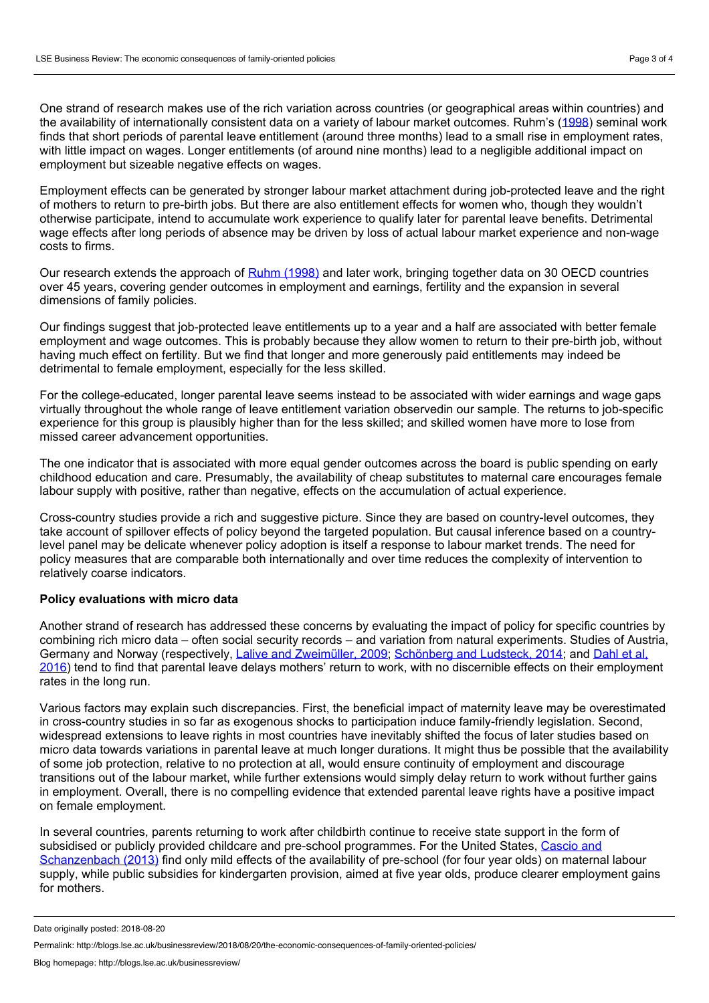One strand of research makes use of the rich variation across countries (or geographical areas within countries) and the availability of internationally consistent data on a variety of labour market outcomes. Ruhm's [\(1998](http://www.nber.org/papers/w5688)) seminal work finds that short periods of parental leave entitlement (around three months) lead to a small rise in employment rates, with little impact on wages. Longer entitlements (of around nine months) lead to a negligible additional impact on employment but sizeable negative effects on wages.

Employment effects can be generated by stronger labour market attachment during job-protected leave and the right of mothers to return to pre-birth jobs. But there are also entitlement effects for women who, though they wouldn't otherwise participate, intend to accumulate work experience to qualify later for parental leave benefits. Detrimental wage effects after long periods of absence may be driven by loss of actual labour market experience and non-wage costs to firms.

Our research extends the approach of Ruhm [\(1998\)](http://www.nber.org/papers/w5688) and later work, bringing together data on 30 OECD countries over 45 years, covering gender outcomes in employment and earnings, fertility and the expansion in several dimensions of family policies.

Our findings suggest that job-protected leave entitlements up to a year and a half are associated with better female employment and wage outcomes. This is probably because they allow women to return to their pre-birth job, without having much effect on fertility. But we find that longer and more generously paid entitlements may indeed be detrimental to female employment, especially for the less skilled.

For the college-educated, longer parental leave seems instead to be associated with wider earnings and wage gaps virtually throughout the whole range of leave entitlement variation observedin our sample. The returns to job-specific experience for this group is plausibly higher than for the less skilled; and skilled women have more to lose from missed career advancement opportunities.

The one indicator that is associated with more equal gender outcomes across the board is public spending on early childhood education and care. Presumably, the availability of cheap substitutes to maternal care encourages female labour supply with positive, rather than negative, effects on the accumulation of actual experience.

Cross-country studies provide a rich and suggestive picture. Since they are based on country-level outcomes, they take account of spillover effects of policy beyond the targeted population. But causal inference based on a countrylevel panel may be delicate whenever policy adoption is itself a response to labour market trends. The need for policy measures that are comparable both internationally and over time reduces the complexity of intervention to relatively coarse indicators.

#### **Policy evaluations with micro data**

Another strand of research has addressed these concerns by evaluating the impact of policy for specific countries by combining rich micro data – often social security records – and variation from natural experiments. Studies of Austria, Germany and Norway [\(respectively,](https://www.mitpressjournals.org/doi/abs/10.1162/REST_a_00602) Lalive and [Zweimüller,](https://academic.oup.com/qje/article-abstract/124/3/1363/1905162?redirectedFrom=fulltext) 2009; [Schönberg](https://www.journals.uchicago.edu/doi/10.1086/675078) and Ludsteck, 2014; and Dahl et al, 2016) tend to find that parental leave delays mothers' return to work, with no discernible effects on their employment rates in the long run.<br>Various factors may explain such discrepancies. First, the beneficial impact of maternity leave may be overestimated

in cross-country studies in so far as exogenous shocks to participation induce family-friendly legislation. Second, widespread extensions to leave rights in most countries have inevitably shifted the focus of later studies based on micro data towards variations in parental leave at much longer durations. It might thus be possible that the availability of some job protection, relative to no protection at all, would ensure continuity of employment and discourage transitions out of the labour market, while further extensions would simply delay return to work without further gains in employment. Overall, there is no compelling evidence that extended parental leave rights have a positive impact on female employment.

In several countries, parents returning to work after childbirth continue to receive state support in the form of subsidised or publicly provided childcare and pre-school programmes. For the United States, Cascio and [Schanzenbach](https://www.brookings.edu/bpea-articles/the-impacts-of-expanding-access-to-high-quality-preschool-education/) (2013) find only mild effects of the availability of pre-school (for four year olds) on maternal labour supply, while public subsidies for kindergarten provision, aimed at five year olds, produce clearer employment gains for mothers.

Date originally posted: 2018-08-20

Permalink: http://blogs.lse.ac.uk/businessreview/2018/08/20/the-economic-consequences-of-family-oriented-policies/